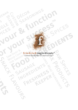# CHIPS friedrich ingredients®

NINGS

CES OF SILES OF STRESS

 $\frac{5}{4}$ 

NTS

ESHNEDER

ATALLED MEANS

SAGE

INGREDIE!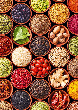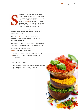

upplying premium food ingredients all starts with the selection of the raw materials, such as pepper from Vietnam and Indonesia, nutmeg from Grenada or Paprika and Chilies from Brazil. Spices for friedrich ingredients are always purchased in its original form, never pre-ground. The incoming spices are cleaned from foreign bodies before being treated with steam.

Only then, the spices are cryogenically ground at -196°C which guarantees maximum preservation of the most precious spice content, the essential oil.

This is why friedrich ingredients is among only few to guarantee minimum content of essential oil, such as 1.3 ml in 100 g of black ground pepper.

The result: Better flavour and reduced usage rate, which surpasses a lower price for sub-standard spices from second class origins.

Food processors choose single spices from friedrich ingredients for these reasons:

- → reduced bacteria count for longer shelf-life food products
- → higher odour, aroma and flavour due to higher content of essential oil
- → consistent premium quality

Single spice specialities include:

- $\rightarrow$  MC micro control spices for critical application, such as dairy
- → LC liquid control spices for processed cheese
- → bake-stable spices for bakery application

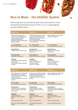

## **Nice to Meat – the AGAGEL System**

Reduce production cost and improve yield, texture and acceptance of your processed meat products by using any of the friedrich ingredients' exclusive AGAGEL systems.

| AGAGEL 220                                                                                                                                                                                   | AGAGEL 370                                                                                                                                                                                              | AGAGEL 371                                                               |
|----------------------------------------------------------------------------------------------------------------------------------------------------------------------------------------------|---------------------------------------------------------------------------------------------------------------------------------------------------------------------------------------------------------|--------------------------------------------------------------------------|
| Yield and texture improver for<br>economical and safe production of<br>sausages, burgers and other<br>processed meat products.<br>High water binding and long-lasting<br>holding capability. | Yield and texture improver for fresh<br>meat chunks, like chicken breast,<br>steaks and other whole muscle red<br>or white meat products.<br>Best for adding value to QSR meats.<br>Contains no flavour | Same as AGAGEL 370, but salt-free<br>with reduced usage rate.            |
| $25 - 30\%$ extra yield.                                                                                                                                                                     | $10 - 25%$ extra yield.                                                                                                                                                                                 | $10 - 25%$ extra yield.                                                  |
| No loss of water in the final product                                                                                                                                                        | Use in tumblers and/or injectors.                                                                                                                                                                       | Use in tumblers and/or injectors.                                        |
| <b>Key Applications:</b><br>Sausages, burgers, cooked meats.                                                                                                                                 | <b>Key Applications:</b><br>QSR meats, chicken breast,<br>chicken parts.                                                                                                                                | <b>Key Applications:</b><br>QSR meats, chicken breast,<br>chicken parts. |
| <b>Active ingredients:</b>                                                                                                                                                                   | <b>Active ingredients:</b>                                                                                                                                                                              | <b>Active ingredients:</b>                                               |
| carrageenan, xanthan gum                                                                                                                                                                     | sodium acetate, sodium carbonate.                                                                                                                                                                       | sodium acetate, sodium carbonate.                                        |
| <b>Usage Rate</b>                                                                                                                                                                            | <b>Usage Rate</b>                                                                                                                                                                                       | <b>Usage Rate</b>                                                        |
| 3-10 g/kg in sausages, burgers and                                                                                                                                                           | $15-25$ g/kg meat.                                                                                                                                                                                      | $5-10$ g/kg meat.                                                        |
| cooked meats.                                                                                                                                                                                | Brines: use 8% addition if                                                                                                                                                                              | Brines: use 3% addition if                                               |
| Use salt and phosphate separately                                                                                                                                                            | 25% brine is added                                                                                                                                                                                      | 25% brine is added                                                       |
| if desired                                                                                                                                                                                   | $[10\%$ if 20% is added].                                                                                                                                                                               | $[4\%$ if 20% is injected].                                              |

| AGAGEL 360                                                                                                                                                                                 | <b>AGAGEL 380</b>                                                                                                                                                | <b>AGAGEL 390</b>                                                                                                    |
|--------------------------------------------------------------------------------------------------------------------------------------------------------------------------------------------|------------------------------------------------------------------------------------------------------------------------------------------------------------------|----------------------------------------------------------------------------------------------------------------------|
| Yield and texture improver for fresh/<br>frozen QSR foods, i.e. tumbled<br>chicken breast, wings, beef steaks,<br>schnitzel and others.<br>For whole muscle and re-structured<br>products. | Yield, structure and flavour improver<br>for safe and economical production<br>of high yield cooked red meat.<br>For whole muscle and re-structured<br>products. | Same as AGAGEL 380, but for white<br>meat [chicken, turkey, duck].                                                   |
| 40% extra yield.<br>Use in tumblers and/or injectors.                                                                                                                                      | 80% extra yield.<br>Use in tumblers and/or injectors.                                                                                                            | 80% extra yield.<br>Use in tumblers and/or injectors.                                                                |
| <b>Key Applications:</b><br>fresh/frozen meat, i.e. QSR item,<br>schnitzel, steaks, chicken breast,<br>chicken parts.                                                                      | <b>Key Applications:</b><br>Cooked red meat, i.e. hams,<br>pastrami, beef rolls, veal roasts,<br>and others                                                      | <b>Key Applications:</b><br>Cooked white meats, i.e. chicken<br>rolls, turkey hams, and other poultry<br>specialties |
| <b>Usage Rate</b><br>12 $g/kg$ meat $[1.2\%]$<br>Brines: use 3% if 40% brine is<br>added.                                                                                                  | <b>Usage Rate</b><br>36 g/kg meat [3.6%]<br>Brines: use 9% if 80% brine is<br>added.                                                                             | <b>Usage Rate</b><br>$36 \frac{\text{g}}{\text{kg}}$ meat [3.6%]<br>Brines: use 9% if 80% brine is<br>added.         |
| Check *xls-recipes online.                                                                                                                                                                 | Check *xls-recipes online.                                                                                                                                       | Check *xls-recipes online.                                                                                           |
| Use salt or curing salt separately as<br>desired.                                                                                                                                          | Use curing salt separately as<br>desired.                                                                                                                        | Use salt separately as desired                                                                                       |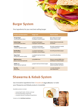## **Burger System**

Fine ingredients for your next best-selling burger

| <b>Product and description</b>                           | <b>Usage rate</b>                                         | <b>Facts to know</b>                                                |
|----------------------------------------------------------|-----------------------------------------------------------|---------------------------------------------------------------------|
| <b>Chicago Burger</b><br>Concentrated spice blend        | 4 g/kg for beef burgers<br>6-7 g/kg for chicken burgers   | Best-selling spice blend<br>Western flavour profile                 |
| <b>Arabian Burger</b><br><b>Concentrated spice blend</b> | 5 g/kg for beef burgers<br>7-8 g/kg for chicken burgers   | Arabian flavour economically<br>formulated                          |
| <b>BurgerMaxx</b><br>Complete ingredient system          | 50 g/kg for beef burgers<br>60 g/kg for chicken burgers   | No further ingredients needed<br>competitively priced               |
| <b>BouillionMaxx</b><br>flavour booster                  | 3-4 g/kg for beef burgers<br>5-6 g/kg for chicken burgers | Use with ground black pepper                                        |
| Pepper black<br>fine ground, premium quality             | $2-3$ g/kg for beef and chicken<br>burgers                | Use with BouillionMaxx                                              |
| <b>MDM Neutralizer</b><br>flavour concentrate [optional] | 5 g/kg MDM share                                          | <b>Reduces unwanted MDM odour</b><br>and flavour in chicken burgers |
| AGAGEL 220<br>Texture improver [optional]                | 5 g/kg for beef and chicken burgers                       | Reduces shrink and improves<br>texture/mouthfeel. No flavour        |
| <b>Soy Fibre</b><br>dietary fibre                        | $1 - 3%$                                                  | 1:10 water absorption<br>meat replacement                           |

### **Shawarma & Kebab System**

Use innovative ingredients from friedrich ingredients to make your Shawarma and Kebab products irresistible

Available products include

→ seasoning for beef, chicken and veal

- → functional binding compounds
- → complete blends including all ingredients

Contact us for **individual solutions.**

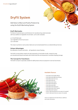# **DryFit System**

Add Value to Meat and Poultry Products by using the DryFit Marinating System

#### **DryFit Marinades**

Pre-blend of selected spices and thickeners for manufacturing a [wet] marinade with local addition of vegetable oil and water, such as [for example]

50 % DryFit Marinade 25% vegetable oil from local source 25% cold water

The recipe is printed on each product label and can be downloaded from our website [Recipe Service].

#### **Unique Advantages**

No separation of spices and herbs – all ingredients remain floating.

The DryFit concept allows simple and safe preparation of marinades locally, instead of using pre-manufactured liquid marinades with limited shelf life and temperature controlled shipping/storage.

#### **The Concept for Franchisors**

The DryFit concept is especially suitable for QSR-products that are prepared in store by franchisees.



#### **Available Flavours**

- → DryFit Marinade Buffalo Wings
- → DryFit Marinade BBQ Hot & Smoky
- → DryFit Marinade Hot Curry
- → DryFit Marinade Hot
- → DryFit Marinade Italian
- → DryFit Marinade Mexico
- → DryFit Marinade Mild
- → DryFit Marinade Shawarma
- → DryFit Marinade Shish Tawook
- → DryFit Marinade Tandoori
- → DryFit+ Marinade Barbecue [no water/oil needed]
- → DryFit+ Marinade Herbs [no water/oil needed]

Check our website for the latest flavour additions and recipe information

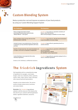## **Custom Blending System**

Reduce production cost and improve acceptance of your food products by using our Custom Blending Support System

| <b>The Challenges</b>                                                                                                           | <b>The Solutions</b>                                                                                                                               |
|---------------------------------------------------------------------------------------------------------------------------------|----------------------------------------------------------------------------------------------------------------------------------------------------|
| Flavour changes from batch to batch.                                                                                            | friedrich ingredients guarantee consistency of                                                                                                     |
| Inconsistent finished product look and taste.                                                                                   | flavour, colour and intensity.                                                                                                                     |
| "Always different - never good".                                                                                                | Batch-sized packaging is available at no extra charge.                                                                                             |
| Colour and flavour does not stay until end of the                                                                               | friedrich ingredients will add natural antioxidants                                                                                                |
| finished product's shelf-life.                                                                                                  | to your formulation at no extra charge.                                                                                                            |
| Constant increase in raw material prices. Precious time<br>is wasted by sourcing individual ingredients with every<br>purchase. | friedrich ingredients guarantee prices for 12<br>months minimum.                                                                                   |
| Transfer of recipe know-how. Your spice formulations are<br>no longer a secret due to employees changing jobs.                  | friedrich ingredients guarantee confidentiality of<br>your secret formula.<br>Secrecy agreement is signed.<br>No-distributor-policy is guaranteed. |
| Custom blending is more expensive than using                                                                                    | friedrich ingredients guarantee savings of 20% or                                                                                                  |
| individual ingredients.                                                                                                         | more vs. individual ingredients.                                                                                                                   |

Contact us for individual, confidential solutions.

## **The friedrich ingredients System**

Visit ingredients.de for a comprehensive range of ingredients for sausages, cured meats, burgers, meat cuts, shawarma, döner, pastrami, snacks, chips, crisps, sauces, soups, and many other savoury food and meat products.

Samples can be ordered online. The service section includes recipe service, brochures, and contact details.

**Remember:** the website is still the only one in the industry that lists all of its 500+ products with full application details, ingredient statement, and prices.

ingredients.de